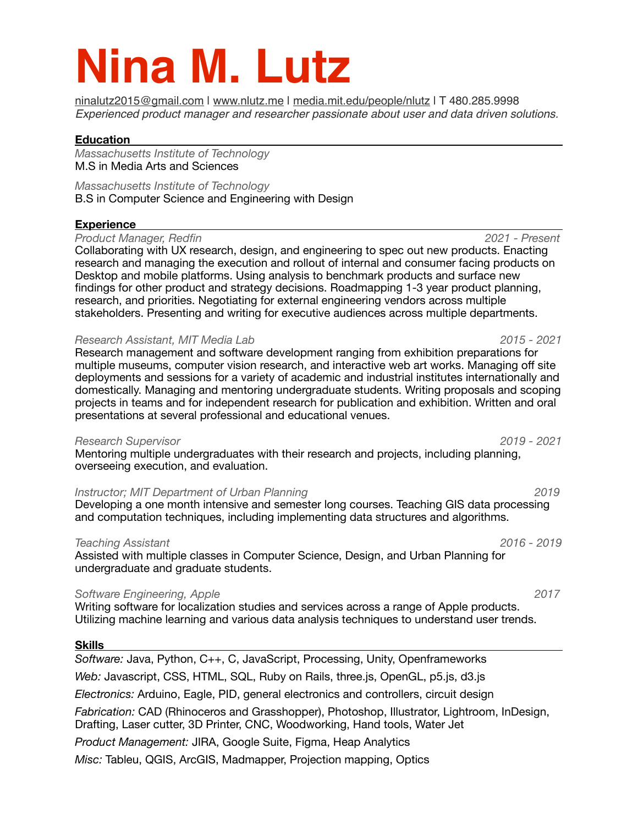# **Nina M. Lutz**

[ninalutz2015@gmail.com](mailto:ninalutz2015@gmail.com) | [www.nlutz.me](http://www.nlutz.me) | [media.mit.edu/people/nlutz](http://media.mit.edu/people/nlutz) | T 480.285.9998 *Experienced product manager and researcher passionate about user and data driven solutions.* 

# **Education**

*Massachusetts Institute of Technology*  M.S in Media Arts and Sciences

*Massachusetts Institute of Technology*  B.S in Computer Science and Engineering with Design

# **Experience**

**Product Manager, Redfin** *COLLECTER <b><i>Product Manager, Redfinition <i> 2021 - Present* 

Collaborating with UX research, design, and engineering to spec out new products. Enacting research and managing the execution and rollout of internal and consumer facing products on Desktop and mobile platforms. Using analysis to benchmark products and surface new findings for other product and strategy decisions. Roadmapping 1-3 year product planning, research, and priorities. Negotiating for external engineering vendors across multiple stakeholders. Presenting and writing for executive audiences across multiple departments.

# *Research Assistant, MIT Media Lab 2015 - 2021*

Research management and software development ranging from exhibition preparations for multiple museums, computer vision research, and interactive web art works. Managing off site deployments and sessions for a variety of academic and industrial institutes internationally and domestically. Managing and mentoring undergraduate students. Writing proposals and scoping projects in teams and for independent research for publication and exhibition. Written and oral presentations at several professional and educational venues.

## *Research Supervisor 2019 - 2021*

Mentoring multiple undergraduates with their research and projects, including planning, overseeing execution, and evaluation.

# *Instructor; MIT Department of Urban Planning 2019* 2019

Developing a one month intensive and semester long courses. Teaching GIS data processing and computation techniques, including implementing data structures and algorithms.

## *Teaching Assistant 2016 - 2019*

Assisted with multiple classes in Computer Science, Design, and Urban Planning for undergraduate and graduate students.

# **Software Engineering, Apple** *2017* **<b>***2017*

Writing software for localization studies and services across a range of Apple products. Utilizing machine learning and various data analysis techniques to understand user trends.

## **Skills**

*Software:* Java, Python, C++, C, JavaScript, Processing, Unity, Openframeworks *Web:* Javascript, CSS, HTML, SQL, Ruby on Rails, three.js, OpenGL, p5.js, d3.js *Electronics:* Arduino, Eagle, PID, general electronics and controllers, circuit design *Fabrication:* CAD (Rhinoceros and Grasshopper), Photoshop, Illustrator, Lightroom, InDesign, Drafting, Laser cutter, 3D Printer, CNC, Woodworking, Hand tools, Water Jet *Product Management:* JIRA, Google Suite, Figma, Heap Analytics *Misc:* Tableu, QGIS, ArcGIS, Madmapper, Projection mapping, Optics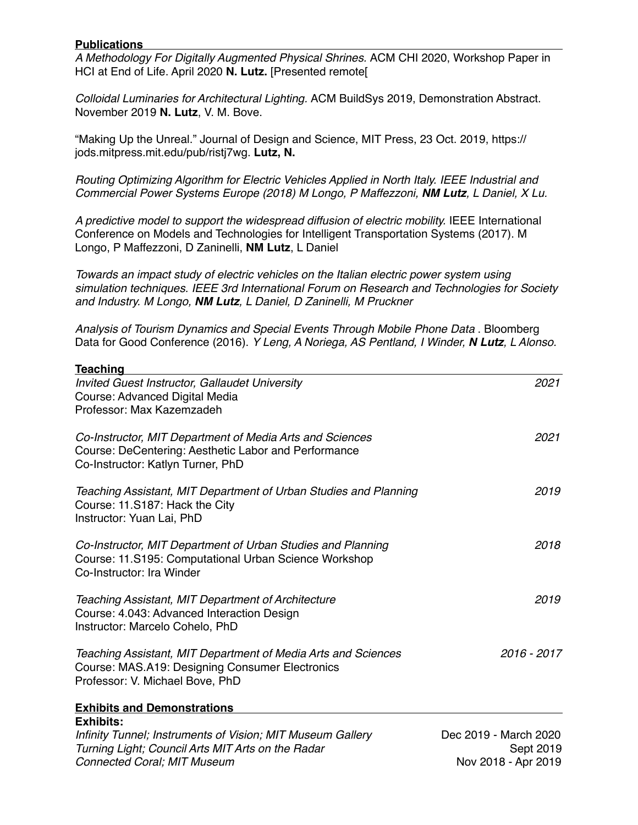# **Publications**

*A Methodology For Digitally Augmented Physical Shrines.* ACM CHI 2020, Workshop Paper in HCI at End of Life. April 2020 **N. Lutz.** [Presented remote[

*Colloidal Luminaries for Architectural Lighting.* ACM BuildSys 2019, Demonstration Abstract. November 2019 **N. Lutz**, V. M. Bove.

"Making Up the Unreal." Journal of Design and Science, MIT Press, 23 Oct. 2019, https:// jods.mitpress.mit.edu/pub/ristj7wg. **Lutz, N.** 

*Routing Optimizing Algorithm for Electric Vehicles Applied in North Italy. IEEE Industrial and Commercial Power Systems Europe (2018) M Longo, P Maffezzoni, NM Lutz, L Daniel, X Lu.* 

*A predictive model to support the widespread diffusion of electric mobility.* IEEE International Conference on Models and Technologies for Intelligent Transportation Systems (2017). M Longo, P Maffezzoni, D Zaninelli, **NM Lutz**, L Daniel

*Towards an impact study of electric vehicles on the Italian electric power system using simulation techniques. IEEE 3rd International Forum on Research and Technologies for Society and Industry. M Longo, NM Lutz, L Daniel, D Zaninelli, M Pruckner* 

*Analysis of Tourism Dynamics and Special Events Through Mobile Phone Data* . Bloomberg Data for Good Conference (2016). *Y Leng, A Noriega, AS Pentland, I Winder, N Lutz, L Alonso.* 

| <b>Teaching</b>                                                                                                                                       |                       |
|-------------------------------------------------------------------------------------------------------------------------------------------------------|-----------------------|
| <b>Invited Guest Instructor, Gallaudet University</b>                                                                                                 | 2021                  |
| Course: Advanced Digital Media                                                                                                                        |                       |
| Professor: Max Kazemzadeh                                                                                                                             |                       |
| Co-Instructor, MIT Department of Media Arts and Sciences<br>Course: DeCentering: Aesthetic Labor and Performance<br>Co-Instructor: Katlyn Turner, PhD | 2021                  |
|                                                                                                                                                       | 2019                  |
| Teaching Assistant, MIT Department of Urban Studies and Planning<br>Course: 11.S187: Hack the City<br>Instructor: Yuan Lai, PhD                       |                       |
| Co-Instructor, MIT Department of Urban Studies and Planning<br>Course: 11.S195: Computational Urban Science Workshop<br>Co-Instructor: Ira Winder     | 2018                  |
| Teaching Assistant, MIT Department of Architecture<br>Course: 4.043: Advanced Interaction Design<br>Instructor: Marcelo Cohelo, PhD                   | 2019                  |
| Teaching Assistant, MIT Department of Media Arts and Sciences<br>Course: MAS.A19: Designing Consumer Electronics<br>Professor: V. Michael Bove, PhD   | 2016 - 2017           |
| <b>Exhibits and Demonstrations</b>                                                                                                                    |                       |
| <b>Exhibits:</b>                                                                                                                                      |                       |
| Infinity Tunnel; Instruments of Vision; MIT Museum Gallery                                                                                            | Dec 2019 - March 2020 |
| Turning Light; Council Arts MIT Arts on the Radar                                                                                                     | Sept 2019             |
| <b>Connected Coral; MIT Museum</b>                                                                                                                    | Nov 2018 - Apr 2019   |